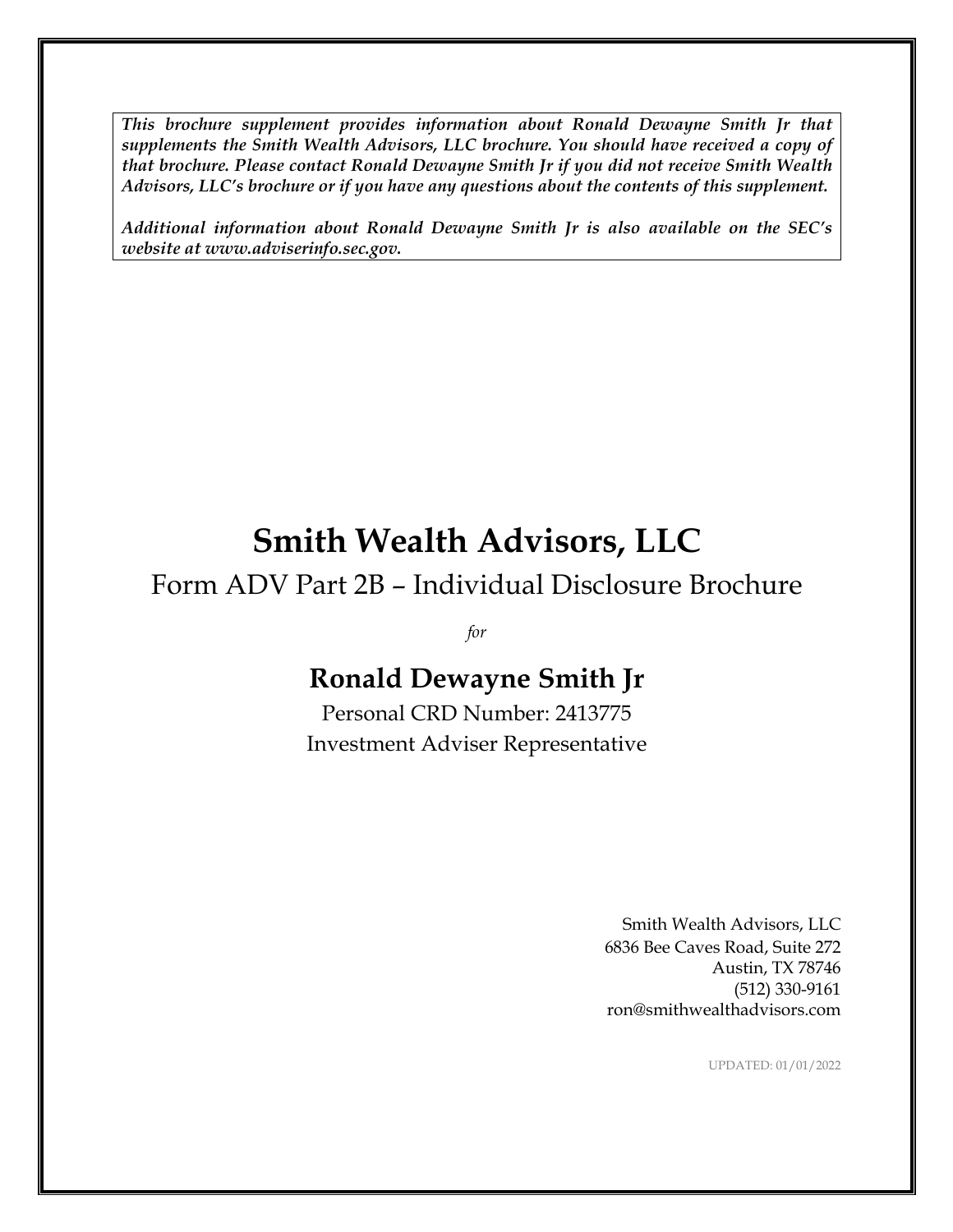*This brochure supplement provides information about Ronald Dewayne Smith Jr that supplements the Smith Wealth Advisors, LLC brochure. You should have received a copy of that brochure. Please contact Ronald Dewayne Smith Jr if you did not receive Smith Wealth Advisors, LLC's brochure or if you have any questions about the contents of this supplement.*

*Additional information about Ronald Dewayne Smith Jr is also available on the SEC's website at www.adviserinfo.sec.gov.*

# **Smith Wealth Advisors, LLC**

Form ADV Part 2B – Individual Disclosure Brochure

*for*

## **Ronald Dewayne Smith Jr**

Personal CRD Number: 2413775 Investment Adviser Representative

> Smith Wealth Advisors, LLC 6836 Bee Caves Road, Suite 272 Austin, TX 78746 (512) 330-9161 ron@smithwealthadvisors.com

> > UPDATED: 01/01/2022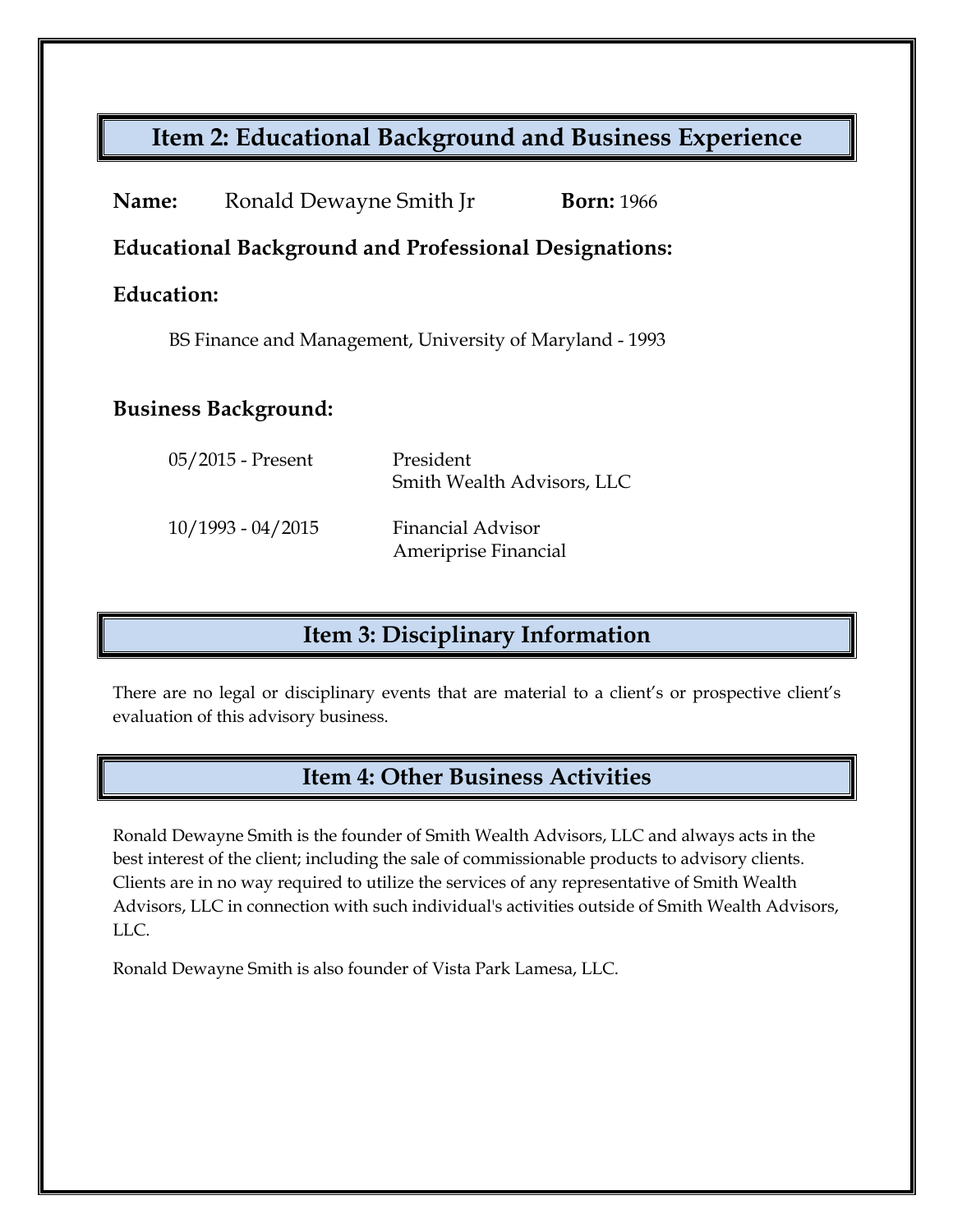## **Item 2: Educational Background and Business Experience**

| Name:                                                        | Ronald Dewayne Smith Jr | <b>Born: 1966</b>                                |
|--------------------------------------------------------------|-------------------------|--------------------------------------------------|
| <b>Educational Background and Professional Designations:</b> |                         |                                                  |
| Education:                                                   |                         |                                                  |
| BS Finance and Management, University of Maryland - 1993     |                         |                                                  |
| <b>Business Background:</b>                                  |                         |                                                  |
|                                                              | 05/2015 - Present       | President<br>Smith Wealth Advisors, LLC          |
|                                                              | $10/1993 - 04/2015$     | <b>Financial Advisor</b><br>Ameriprise Financial |

## **Item 3: Disciplinary Information**

There are no legal or disciplinary events that are material to a client's or prospective client's evaluation of this advisory business.

#### **Item 4: Other Business Activities**

Ronald Dewayne Smith is the founder of Smith Wealth Advisors, LLC and always acts in the best interest of the client; including the sale of commissionable products to advisory clients. Clients are in no way required to utilize the services of any representative of Smith Wealth Advisors, LLC in connection with such individual's activities outside of Smith Wealth Advisors, LLC.

Ronald Dewayne Smith is also founder of Vista Park Lamesa, LLC.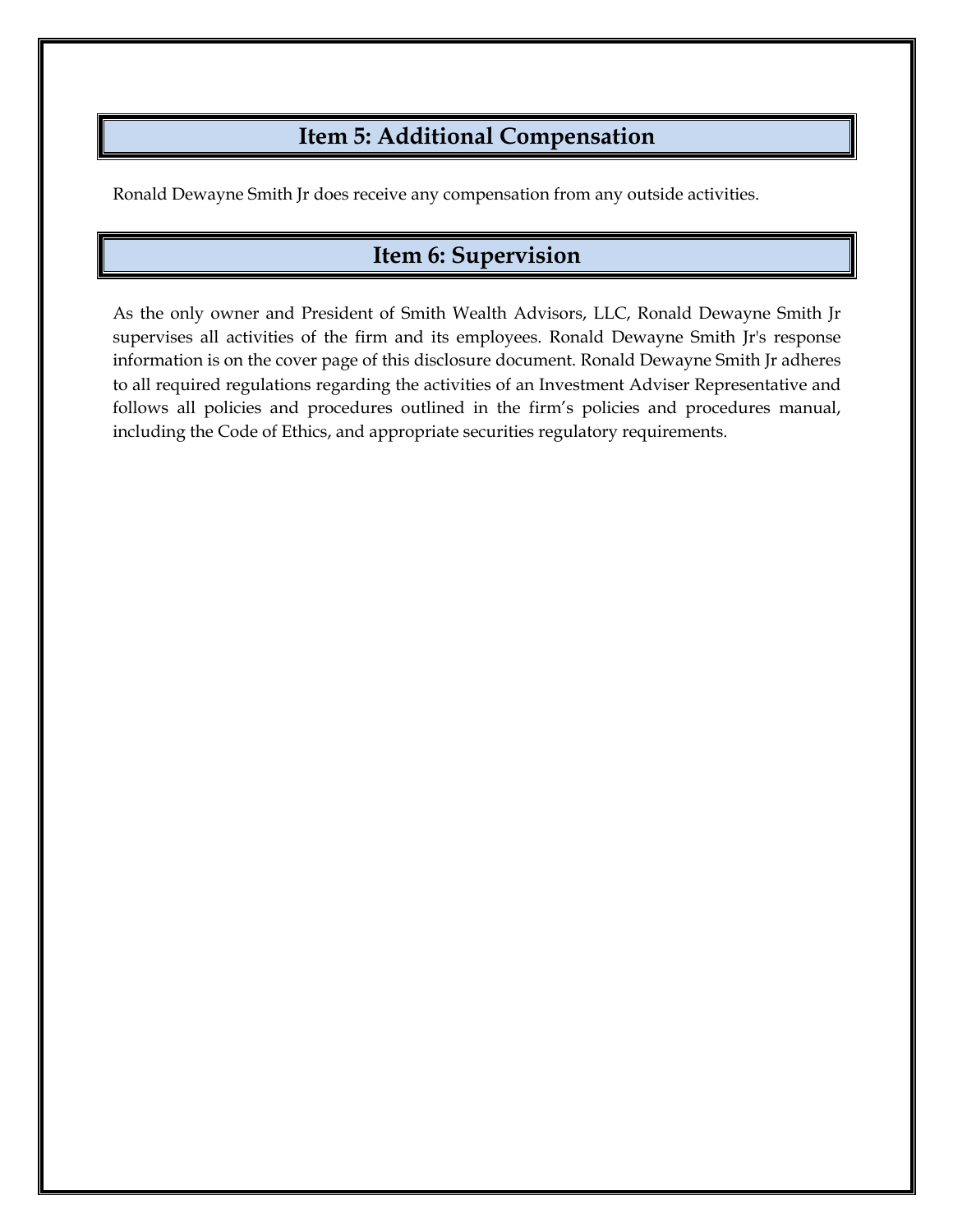#### **Item 5: Additional Compensation**

Ronald Dewayne Smith Jr does receive any compensation from any outside activities.

## **Item 6: Supervision**

As the only owner and President of Smith Wealth Advisors, LLC, Ronald Dewayne Smith Jr supervises all activities of the firm and its employees. Ronald Dewayne Smith Jr's response information is on the cover page of this disclosure document. Ronald Dewayne Smith Jr adheres to all required regulations regarding the activities of an Investment Adviser Representative and follows all policies and procedures outlined in the firm's policies and procedures manual, including the Code of Ethics, and appropriate securities regulatory requirements.